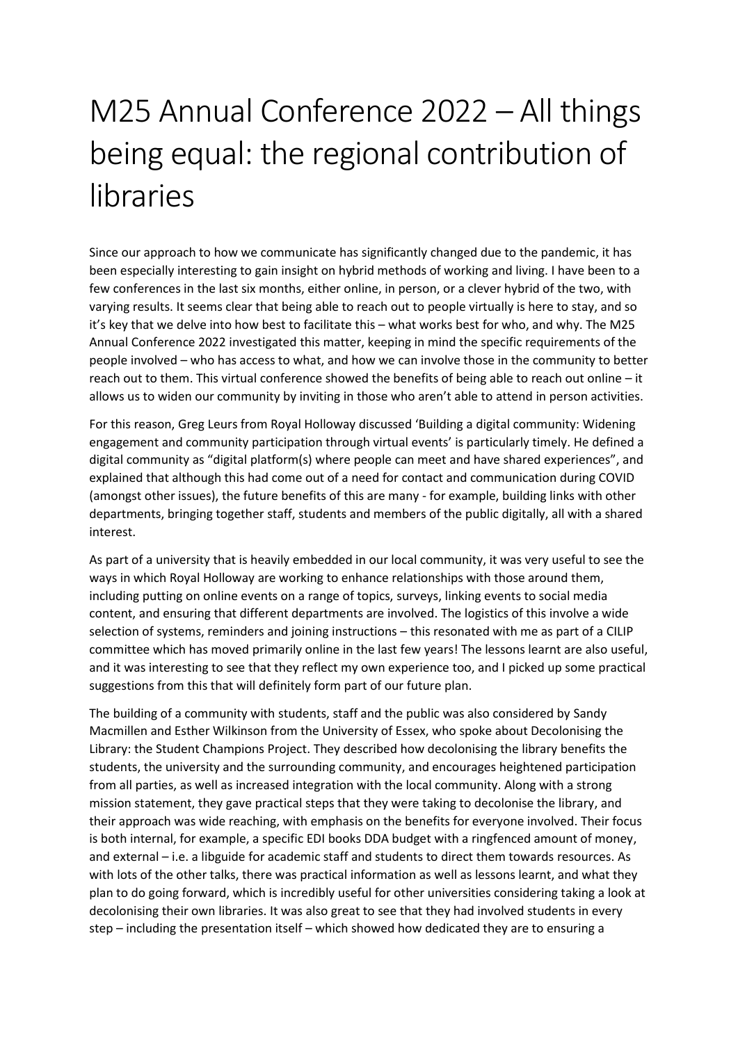## M25 Annual Conference 2022 – All things being equal: the regional contribution of libraries

Since our approach to how we communicate has significantly changed due to the pandemic, it has been especially interesting to gain insight on hybrid methods of working and living. I have been to a few conferences in the last six months, either online, in person, or a clever hybrid of the two, with varying results. It seems clear that being able to reach out to people virtually is here to stay, and so it's key that we delve into how best to facilitate this – what works best for who, and why. The M25 Annual Conference 2022 investigated this matter, keeping in mind the specific requirements of the people involved – who has access to what, and how we can involve those in the community to better reach out to them. This virtual conference showed the benefits of being able to reach out online – it allows us to widen our community by inviting in those who aren't able to attend in person activities.

For this reason, Greg Leurs from Royal Holloway discussed 'Building a digital community: Widening engagement and community participation through virtual events' is particularly timely. He defined a digital community as "digital platform(s) where people can meet and have shared experiences", and explained that although this had come out of a need for contact and communication during COVID (amongst other issues), the future benefits of this are many - for example, building links with other departments, bringing together staff, students and members of the public digitally, all with a shared interest.

As part of a university that is heavily embedded in our local community, it was very useful to see the ways in which Royal Holloway are working to enhance relationships with those around them, including putting on online events on a range of topics, surveys, linking events to social media content, and ensuring that different departments are involved. The logistics of this involve a wide selection of systems, reminders and joining instructions – this resonated with me as part of a CILIP committee which has moved primarily online in the last few years! The lessons learnt are also useful, and it was interesting to see that they reflect my own experience too, and I picked up some practical suggestions from this that will definitely form part of our future plan.

The building of a community with students, staff and the public was also considered by Sandy Macmillen and Esther Wilkinson from the University of Essex, who spoke about Decolonising the Library: the Student Champions Project. They described how decolonising the library benefits the students, the university and the surrounding community, and encourages heightened participation from all parties, as well as increased integration with the local community. Along with a strong mission statement, they gave practical steps that they were taking to decolonise the library, and their approach was wide reaching, with emphasis on the benefits for everyone involved. Their focus is both internal, for example, a specific EDI books DDA budget with a ringfenced amount of money, and external – i.e. a libguide for academic staff and students to direct them towards resources. As with lots of the other talks, there was practical information as well as lessons learnt, and what they plan to do going forward, which is incredibly useful for other universities considering taking a look at decolonising their own libraries. It was also great to see that they had involved students in every step – including the presentation itself – which showed how dedicated they are to ensuring a